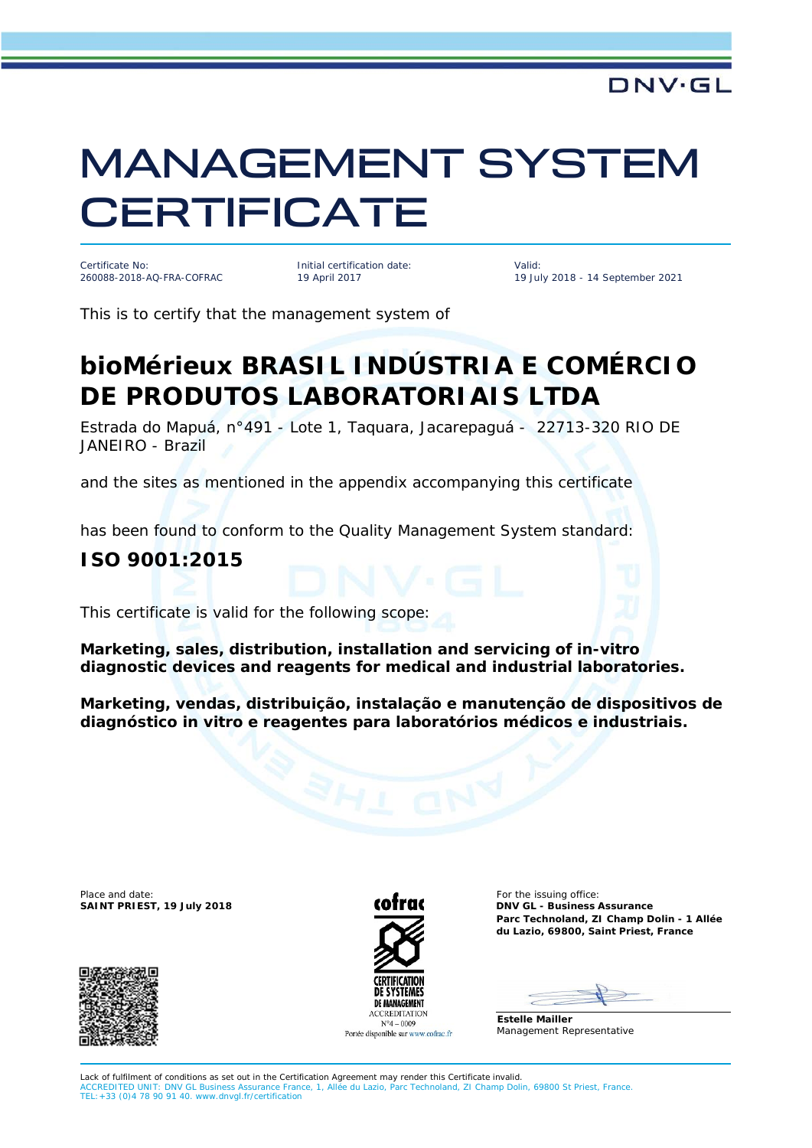# MANAGEMENT SYSTEM **CERTIFICATE**

Certificate No: 260088-2018-AQ-FRA-COFRAC Initial certification date: 19 April 2017

Valid: 19 July 2018 - 14 September 2021

This is to certify that the management system of

## **bioMérieux BRASIL INDÚSTRIA E COMÉRCIO DE PRODUTOS LABORATORIAIS LTDA**

Estrada do Mapuá, n°491 - Lote 1, Taquara, Jacarepaguá - 22713-320 RIO DE JANEIRO - Brazil

and the sites as mentioned in the appendix accompanying this certificate

has been found to conform to the Quality Management System standard:

#### **ISO 9001:2015**

This certificate is valid for the following scope:

**Marketing, sales, distribution, installation and servicing of in-vitro diagnostic devices and reagents for medical and industrial laboratories.**

**Marketing, vendas, distribuição, instalação e manutenção de dispositivos de diagnóstico in vitro e reagentes para laboratórios médicos e industriais.**

Place and date: For the issuing office:<br>
SAINT PRIEST, 19 July 2018 **COTTER CONTRACT CONTRACT CONTRACT CONTRACT CONTRACT CONTRACT CONTRACT CONTRACT CONTRACT** 





**SAINT PRIEST, 19 July 2018 DNV GL - Business Assurance Parc Technoland, ZI Champ Dolin - 1 Allée du Lazio, 69800, Saint Priest, France**

**Estelle Mailler** Management Representative

Lack of fulfilment of conditions as set out in the Certification Agreement may render this Certificate invalid. CCREDITED UNIT: DNV GL Business Assurance France, 1, Allée du Lazio, Parc Technoland, ZI Champ Dolin, 69800 St Priest, France. TEL:+33 (0)4 78 90 91 40[. www.dnvgl.fr/certification](http://www.dnvgl.fr/certification)